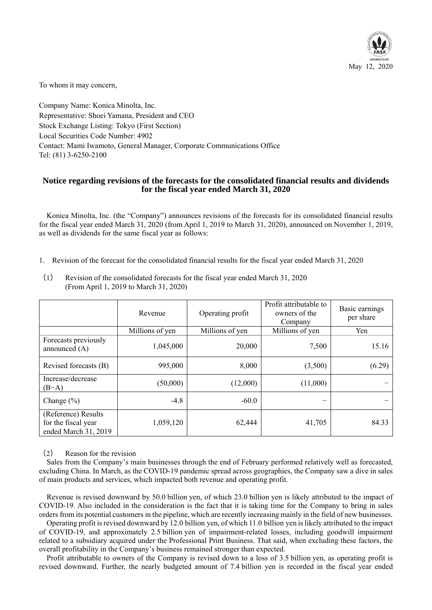

To whom it may concern,

Company Name: Konica Minolta, Inc. Representative: Shoei Yamana, President and CEO Stock Exchange Listing: Tokyo (First Section) Local Securities Code Number: 4902 Contact: Mami Iwamoto, General Manager, Corporate Communications Office Tel: (81) 3-6250-2100

# **Notice regarding revisions of the forecasts for the consolidated financial results and dividends for the fiscal year ended March 31, 2020**

Konica Minolta, Inc. (the "Company") announces revisions of the forecasts for its consolidated financial results for the fiscal year ended March 31, 2020 (from April 1, 2019 to March 31, 2020), announced on November 1, 2019, as well as dividends for the same fiscal year as follows:

1. Revision of the forecast for the consolidated financial results for the fiscal year ended March 31, 2020

|                                                                    | Revenue         | Operating profit | Profit attributable to<br>owners of the<br>Company | Basic earnings<br>per share |  |
|--------------------------------------------------------------------|-----------------|------------------|----------------------------------------------------|-----------------------------|--|
|                                                                    | Millions of yen | Millions of yen  | Millions of yen                                    | Yen                         |  |
| Forecasts previously<br>announced $(A)$                            | 1,045,000       | 20,000           | 7,500                                              | 15.16                       |  |
| Revised forecasts (B)                                              | 995,000         | 8,000            | (3,500)                                            | (6.29)                      |  |
| Increase/decrease<br>$(B-A)$                                       | (50,000)        | (12,000)         | (11,000)                                           |                             |  |
| Change $(\% )$                                                     | $-4.8$          | $-60.0$          | —                                                  |                             |  |
| (Reference) Results<br>for the fiscal year<br>ended March 31, 2019 | 1,059,120       | 62,444           | 41,705                                             | 84.33                       |  |

(1) Revision of the consolidated forecasts for the fiscal year ended March 31, 2020 (From April 1, 2019 to March 31, 2020)

# (2) Reason for the revision

Sales from the Company's main businesses through the end of February performed relatively well as forecasted, excluding China. In March, as the COVID-19 pandemic spread across geographies, the Company saw a dive in sales of main products and services, which impacted both revenue and operating profit.

Revenue is revised downward by 50.0 billion yen, of which 23.0 billion yen is likely attributed to the impact of COVID-19. Also included in the consideration is the fact that it is taking time for the Company to bring in sales orders from its potential customers in the pipeline, which are recently increasing mainly in the field of new businesses.

Operating profit is revised downward by 12.0 billion yen, of which 11.0 billion yen is likely attributed to the impact of COVID-19, and approximately 2.5 billion yen of impairment-related losses, including goodwill impairment related to a subsidiary acquired under the Professional Print Business. That said, when excluding these factors, the overall profitability in the Company's business remained stronger than expected.

Profit attributable to owners of the Company is revised down to a loss of 3.5 billion yen, as operating profit is revised downward. Further, the nearly budgeted amount of 7.4 billion yen is recorded in the fiscal year ended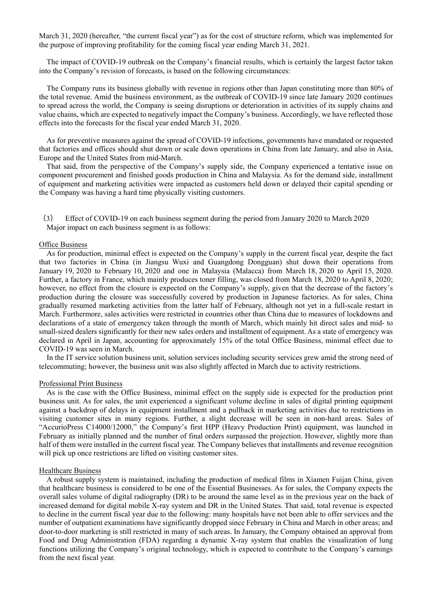March 31, 2020 (hereafter, "the current fiscal year") as for the cost of structure reform, which was implemented for the purpose of improving profitability for the coming fiscal year ending March 31, 2021.

The impact of COVID-19 outbreak on the Company's financial results, which is certainly the largest factor taken into the Company's revision of forecasts, is based on the following circumstances:

The Company runs its business globally with revenue in regions other than Japan constituting more than 80% of the total revenue. Amid the business environment, as the outbreak of COVID-19 since late January 2020 continues to spread across the world, the Company is seeing disruptions or deterioration in activities of its supply chains and value chains, which are expected to negatively impact the Company's business. Accordingly, we have reflected those effects into the forecasts for the fiscal year ended March 31, 2020.

As for preventive measures against the spread of COVID-19 infections, governments have mandated or requested that factories and offices should shut down or scale down operations in China from late January, and also in Asia, Europe and the United States from mid-March.

That said, from the perspective of the Company's supply side, the Company experienced a tentative issue on component procurement and finished goods production in China and Malaysia. As for the demand side, installment of equipment and marketing activities were impacted as customers held down or delayed their capital spending or the Company was having a hard time physically visiting customers.

(3) Effect of COVID-19 on each business segment during the period from January 2020 to March 2020 Major impact on each business segment is as follows:

#### **Office Business**

As for production, minimal effect is expected on the Company's supply in the current fiscal year, despite the fact that two factories in China (in Jiangsu Wuxi and Guangdong Dongguan) shut down their operations from January 19, 2020 to February 10, 2020 and one in Malaysia (Malacca) from March 18, 2020 to April 15, 2020. Further, a factory in France, which mainly produces toner filling, was closed from March 18, 2020 to April 8, 2020; however, no effect from the closure is expected on the Company's supply, given that the decrease of the factory's production during the closure was successfully covered by production in Japanese factories. As for sales, China gradually resumed marketing activities from the latter half of February, although not yet in a full-scale restart in March. Furthermore, sales activities were restricted in countries other than China due to measures of lockdowns and declarations of a state of emergency taken through the month of March, which mainly hit direct sales and mid- to small-sized dealers significantly for their new sales orders and installment of equipment. As a state of emergency was declared in April in Japan, accounting for approximately 15% of the total Office Business, minimal effect due to COVID-19 was seen in March.

In the IT service solution business unit, solution services including security services grew amid the strong need of telecommuting; however, the business unit was also slightly affected in March due to activity restrictions.

### Professional Print Business

As is the case with the Office Business, minimal effect on the supply side is expected for the production print business unit. As for sales, the unit experienced a significant volume decline in sales of digital printing equipment against a backdrop of delays in equipment installment and a pullback in marketing activities due to restrictions in visiting customer sites in many regions. Further, a slight decrease will be seen in non-hard areas. Sales of "AccurioPress C14000/12000," the Company's first HPP (Heavy Production Print) equipment, was launched in February as initially planned and the number of final orders surpassed the projection. However, slightly more than half of them were installed in the current fiscal year. The Company believes that installments and revenue recognition will pick up once restrictions are lifted on visiting customer sites.

### **Healthcare Business**

A robust supply system is maintained, including the production of medical films in Xiamen Fuijan China, given that healthcare business is considered to be one of the Essential Businesses. As for sales, the Company expects the overall sales volume of digital radiography (DR) to be around the same level as in the previous year on the back of increased demand for digital mobile X-ray system and DR in the United States. That said, total revenue is expected to decline in the current fiscal year due to the following: many hospitals have not been able to offer services and the number of outpatient examinations have significantly dropped since February in China and March in other areas; and door-to-door marketing is still restricted in many of such areas. In January, the Company obtained an approval from Food and Drug Administration (FDA) regarding a dynamic X-ray system that enables the visualization of lung functions utilizing the Company's original technology, which is expected to contribute to the Company's earnings from the next fiscal year.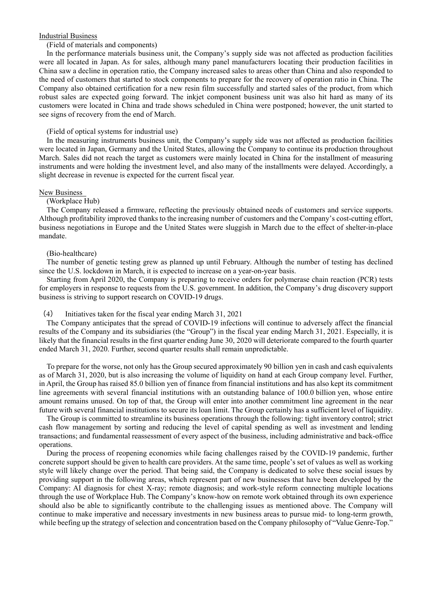### Industrial Business

### (Field of materials and components)

In the performance materials business unit, the Company's supply side was not affected as production facilities were all located in Japan. As for sales, although many panel manufacturers locating their production facilities in China saw a decline in operation ratio, the Company increased sales to areas other than China and also responded to the need of customers that started to stock components to prepare for the recovery of operation ratio in China. The Company also obtained certification for a new resin film successfully and started sales of the product, from which robust sales are expected going forward. The inkjet component business unit was also hit hard as many of its customers were located in China and trade shows scheduled in China were postponed; however, the unit started to see signs of recovery from the end of March.

#### (Field of optical systems for industrial use)

In the measuring instruments business unit, the Company's supply side was not affected as production facilities were located in Japan, Germany and the United States, allowing the Company to continue its production throughout March. Sales did not reach the target as customers were mainly located in China for the installment of measuring instruments and were holding the investment level, and also many of the installments were delayed. Accordingly, a slight decrease in revenue is expected for the current fiscal year.

#### New Business

### (Workplace Hub)

The Company released a firmware, reflecting the previously obtained needs of customers and service supports. Although profitability improved thanks to the increasing number of customers and the Company's cost-cutting effort, business negotiations in Europe and the United States were sluggish in March due to the effect of shelter-in-place mandate.

#### (Bio-healthcare)

The number of genetic testing grew as planned up until February. Although the number of testing has declined since the U.S. lockdown in March, it is expected to increase on a year-on-year basis.

Starting from April 2020, the Company is preparing to receive orders for polymerase chain reaction (PCR) tests for employers in response to requests from the U.S. government. In addition, the Company's drug discovery support business is striving to support research on COVID-19 drugs.

### (4) Initiatives taken for the fiscal year ending March 31, 2021

The Company anticipates that the spread of COVID-19 infections will continue to adversely affect the financial results of the Company and its subsidiaries (the "Group") in the fiscal year ending March 31, 2021. Especially, it is likely that the financial results in the first quarter ending June 30, 2020 will deteriorate compared to the fourth quarter ended March 31, 2020. Further, second quarter results shall remain unpredictable.

To prepare for the worse, not only has the Group secured approximately 90 billion yen in cash and cash equivalents as of March 31, 2020, but is also increasing the volume of liquidity on hand at each Group company level. Further, in April, the Group has raised 85.0 billion yen of finance from financial institutions and has also kept its commitment line agreements with several financial institutions with an outstanding balance of 100.0 billion yen, whose entire amount remains unused. On top of that, the Group will enter into another commitment line agreement in the near future with several financial institutions to secure its loan limit. The Group certainly has a sufficient level of liquidity.

The Group is committed to streamline its business operations through the following: tight inventory control; strict cash flow management by sorting and reducing the level of capital spending as well as investment and lending transactions; and fundamental reassessment of every aspect of the business, including administrative and back-office operations.

During the process of reopening economies while facing challenges raised by the COVID-19 pandemic, further concrete support should be given to health care providers. At the same time, people's set of values as well as working style will likely change over the period. That being said, the Company is dedicated to solve these social issues by providing support in the following areas, which represent part of new businesses that have been developed by the Company: AI diagnosis for chest X-ray; remote diagnosis; and work-style reform connecting multiple locations through the use of Workplace Hub. The Company's know-how on remote work obtained through its own experience should also be able to significantly contribute to the challenging issues as mentioned above. The Company will continue to make imperative and necessary investments in new business areas to pursue mid- to long-term growth, while beefing up the strategy of selection and concentration based on the Company philosophy of "Value Genre-Top."